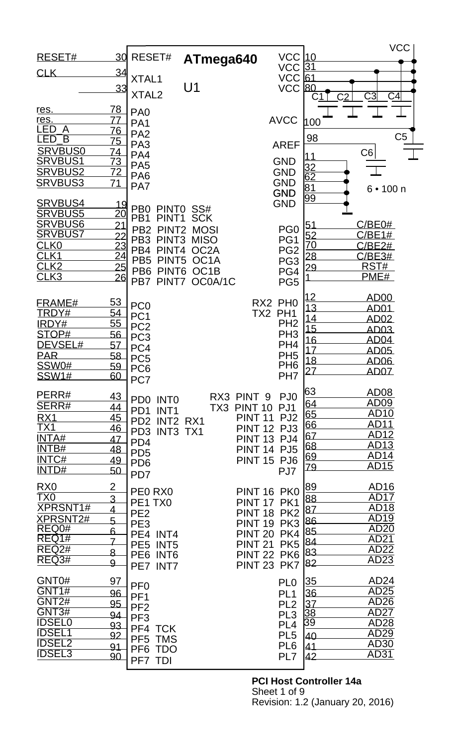|                                  |                                    |                                      |                   |                                      |                                    |                                    | <b>VCC</b>                       |  |
|----------------------------------|------------------------------------|--------------------------------------|-------------------|--------------------------------------|------------------------------------|------------------------------------|----------------------------------|--|
| RESET#                           | 30                                 | RESET#                               | ATmega640         |                                      | <b>VCC 10</b>                      |                                    |                                  |  |
| <b>CLK</b>                       | 34                                 |                                      |                   |                                      | <b>VCC</b>                         | <u>31</u>                          |                                  |  |
|                                  | 33                                 | XTAL1                                | U <sub>1</sub>    |                                      | <b>VCC</b><br><b>VCC</b>           | 61<br>80                           |                                  |  |
|                                  |                                    | XTAL <sub>2</sub>                    |                   |                                      |                                    | C <sub>2</sub>                     | C <sub>3</sub><br>C <sub>4</sub> |  |
| res.                             | <u>78</u>                          | PA <sub>0</sub>                      |                   |                                      |                                    |                                    |                                  |  |
| res.                             |                                    | PA <sub>1</sub>                      |                   |                                      | <b>AVCC</b>                        | 100                                |                                  |  |
| <b>LED</b><br>A                  | <u>76</u>                          | PA <sub>2</sub>                      |                   |                                      |                                    |                                    |                                  |  |
| LED<br>$\overline{\mathsf{B}}$   | 75                                 | PA <sub>3</sub>                      |                   |                                      | <b>AREF</b>                        | 98                                 | C <sub>5</sub>                   |  |
| <b>SRVBUS0</b>                   | 74                                 | PA4                                  |                   |                                      |                                    | 11                                 | C6                               |  |
| <b>SRVBUS1</b><br><b>SRVBUS2</b> | <u>73</u><br>72                    | PA <sub>5</sub>                      |                   |                                      | <b>GND</b><br><b>GND</b>           | $\frac{32}{62}$<br>$\frac{81}{99}$ |                                  |  |
| <b>SRVBUS3</b>                   | 71                                 | PA <sub>6</sub>                      |                   |                                      | <b>GND</b>                         |                                    |                                  |  |
|                                  |                                    | PA7                                  |                   |                                      | <b>GND</b>                         |                                    | 6 • 100 n                        |  |
| SRVBUS4                          |                                    | P <sub>B</sub><br>PINT <sub>0</sub>  | SS#               |                                      | <b>GND</b>                         |                                    |                                  |  |
| <b>SRVBUS5</b>                   | $\frac{19}{20}$                    | PB <sub>1</sub><br>PINT <sub>1</sub> | <b>SCK</b>        |                                      |                                    |                                    |                                  |  |
| <b>SRVBUS6</b>                   | $\overline{21}$                    | PB <sub>2</sub><br>PINT <sub>2</sub> | <b>MOSI</b>       |                                      | PG <sub>0</sub>                    | 51                                 | C/BE0#                           |  |
| <b>SRVBUS7</b>                   |                                    | PB <sub>3</sub><br>PINT <sub>3</sub> | <b>MISO</b>       |                                      | PG1                                | $\frac{52}{70}$                    | C/BE1#                           |  |
| <u>CLK0</u><br>CLK <sub>1</sub>  | $\frac{22}{23}$<br>$\frac{23}{24}$ | PB4<br>PINT <sub>4</sub>             | OC <sub>2</sub> A |                                      | PG <sub>2</sub>                    | 28                                 | C/BE2#<br>C/BE3#                 |  |
| CLK <sub>2</sub>                 | 25                                 | PB <sub>5</sub><br>PINT <sub>5</sub> | OC <sub>1</sub> A |                                      | PG <sub>3</sub>                    | <u> 29</u>                         | RST#                             |  |
| CLK <sub>3</sub>                 | 26                                 | PB <sub>6</sub><br>PINT <sub>6</sub> | OC1B              |                                      | PG4                                |                                    | PME#                             |  |
|                                  |                                    | PB7<br>PINT7                         | OC0A/1C           |                                      | PG <sub>5</sub>                    |                                    |                                  |  |
| FRAME#                           | <u>53</u>                          |                                      |                   |                                      | RX2 PH0                            |                                    | AD00                             |  |
| TRDY#                            | <u>54</u>                          | PC <sub>0</sub><br>PC <sub>1</sub>   |                   | TX2 PH1                              |                                    | 13                                 | AD01                             |  |
| IRDY#                            | 55                                 | PC <sub>2</sub>                      |                   |                                      | PH <sub>2</sub>                    | <u> 14</u><br>15                   | AD <sub>02</sub>                 |  |
| STOP#                            | 56                                 | PC <sub>3</sub>                      |                   |                                      | PH <sub>3</sub>                    | 16                                 | <u>AD03</u><br><u>AD04</u>       |  |
| DEVSEL#                          | 57                                 | PC4                                  |                   |                                      | PH <sub>4</sub>                    | 17                                 | <b>AD05</b>                      |  |
| <b>PAR</b>                       | 58                                 | PC <sub>5</sub>                      |                   |                                      | PH <sub>5</sub><br>PH <sub>6</sub> | 18                                 | <u>AD06</u>                      |  |
| <b>SSW0#</b><br><b>SSW1#</b>     | 59<br>60                           | PC <sub>6</sub>                      |                   |                                      | PH <sub>7</sub>                    | 27                                 | AD07                             |  |
|                                  |                                    | PC7                                  |                   |                                      |                                    |                                    |                                  |  |
| PERR#                            | <u>43</u>                          | PD <sub>0</sub><br><b>INTO</b>       |                   | RX3 PINT 9                           | PJ <sub>0</sub>                    | 63                                 | AD <sub>08</sub><br>AD09         |  |
| SERR#                            | 44                                 | PD <sub>1</sub><br>INT <sub>1</sub>  |                   | TX3 PINT 10                          | PJ1                                | 64<br>65                           | <b>AD10</b>                      |  |
| RX1<br>$\overline{TX1}$          | <u>45</u>                          | PD2 INT2 RX1                         |                   | <b>PINT 11</b>                       | PJ <sub>2</sub>                    | 66                                 | AD11                             |  |
| <b>INTA#</b>                     | 46<br>47                           | PD3 INT3 TX1                         |                   | <b>PINT 12</b><br><b>PINT 13 PJ4</b> | PJ3                                | 67                                 | AD12                             |  |
| INTB#                            | 48                                 | PD <sub>4</sub>                      |                   | <b>PINT 14 PJ5</b>                   |                                    | 68                                 | AD <sub>13</sub>                 |  |
| INTC#                            | 49                                 | PD <sub>5</sub><br>PD <sub>6</sub>   |                   | <b>PINT 15 PJ6</b>                   |                                    | 69                                 | AD <sub>14</sub>                 |  |
| INTD#                            | <u>50</u>                          | PD7                                  |                   |                                      | PJ7                                | 79                                 | <b>AD15</b>                      |  |
| R <sub>X0</sub>                  | $\overline{2}$                     |                                      |                   |                                      |                                    | 89                                 | AD <sub>16</sub>                 |  |
| TX0                              | 3                                  | PEO RXO                              |                   | PINT 16 PK0                          |                                    | 88                                 | <b>AD17</b>                      |  |
| <b>XPRSNT1#</b>                  | <u>4</u>                           | PE1 TX0<br>PE <sub>2</sub>           |                   | <b>PINT 17</b><br>PINT 18 PK2        | PK1                                | 87                                 | <b>AD18</b>                      |  |
| <u>XPRSNT2#</u>                  | 5                                  | PE <sub>3</sub>                      |                   | <b>PINT 19</b>                       | PK <sub>3</sub>                    | 86                                 | AD19                             |  |
| REQ0#                            | 6                                  | PE4<br>INT4                          |                   | <b>PINT 20</b>                       | PK4                                | 85                                 | <b>AD20</b>                      |  |
| REQ1#<br>REQ <sub>2#</sub>       | $\overline{1}$                     | PE5 INT5                             |                   | <b>PINT 21</b>                       | PK <sub>5</sub>                    | 84                                 | <b>AD21</b><br>AD <sub>22</sub>  |  |
| REQ3#                            | 8                                  | PE <sub>6</sub><br>INT6              |                   | <b>PINT 22</b>                       | PK <sub>6</sub>                    | 83                                 | AD23                             |  |
|                                  | $\overline{9}$                     | PE7 INT7                             |                   | PINT 23 PK7                          |                                    | 82                                 |                                  |  |
| GNT0#                            | 97                                 | PF <sub>0</sub>                      |                   |                                      | PL <sub>0</sub>                    | 35                                 | AD24                             |  |
| GNT1#                            | 96                                 | PF <sub>1</sub>                      |                   |                                      | PL <sub>1</sub>                    | 36                                 | <b>AD25</b>                      |  |
| GNT <sub>2#</sub>                | 95                                 | PF <sub>2</sub>                      |                   |                                      | PL <sub>2</sub>                    | 37                                 | AD <sub>26</sub>                 |  |
| GNT3#<br><b>IDSEL0</b>           | 94                                 | PF <sub>3</sub>                      |                   |                                      | PL <sub>3</sub>                    | 38                                 | AD <sub>27</sub><br><b>AD28</b>  |  |
| <b>IDSEL1</b>                    | 93                                 | PF4 TCK                              |                   |                                      | PL <sub>4</sub>                    | <u>39</u>                          | AD29                             |  |
| <b>IDSEL2</b>                    | 92                                 | PF <sub>5</sub><br><b>TMS</b>        |                   |                                      | PL <sub>5</sub><br>PL <sub>6</sub> | 40<br>41                           | <b>AD30</b>                      |  |
| <b>IDSEL3</b>                    | 91<br>90                           | PF <sub>6</sub><br><b>TDO</b>        |                   |                                      | PL7                                | 42                                 | <b>AD31</b>                      |  |
|                                  |                                    | PF7 TDI                              |                   |                                      |                                    |                                    |                                  |  |

**PCI Host Controller 14a** Sheet 1 of 9 Revision: 1.2 (January 20, 2016)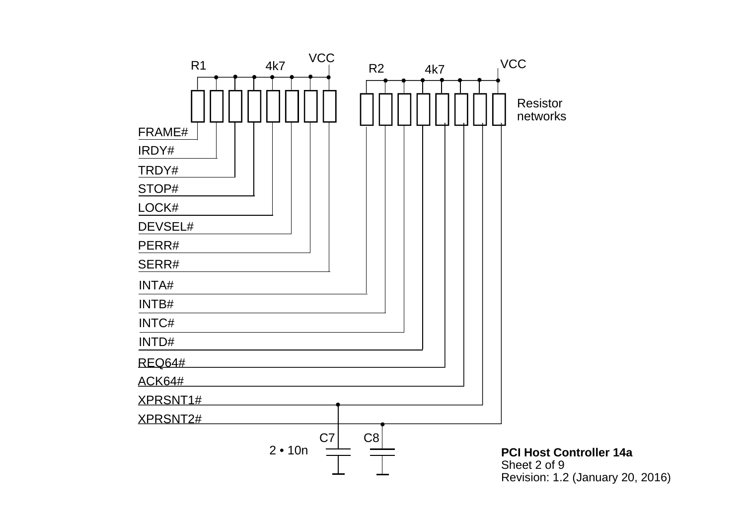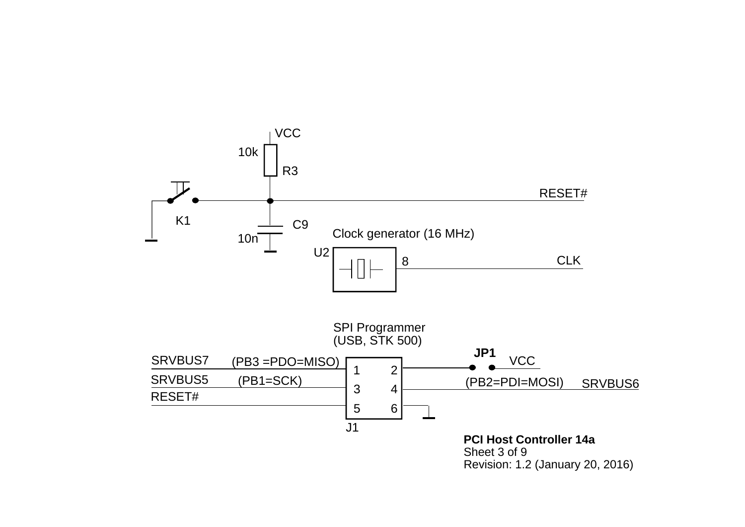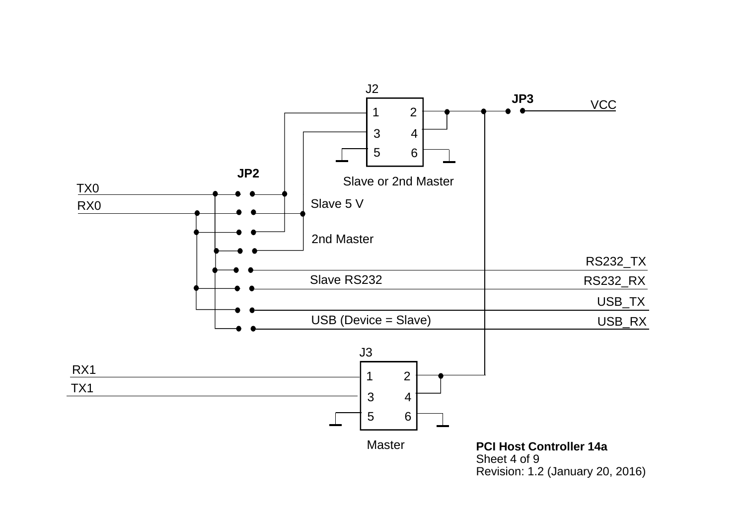

Sheet 4 of 9 Revision: 1.2 (January 20, 2016)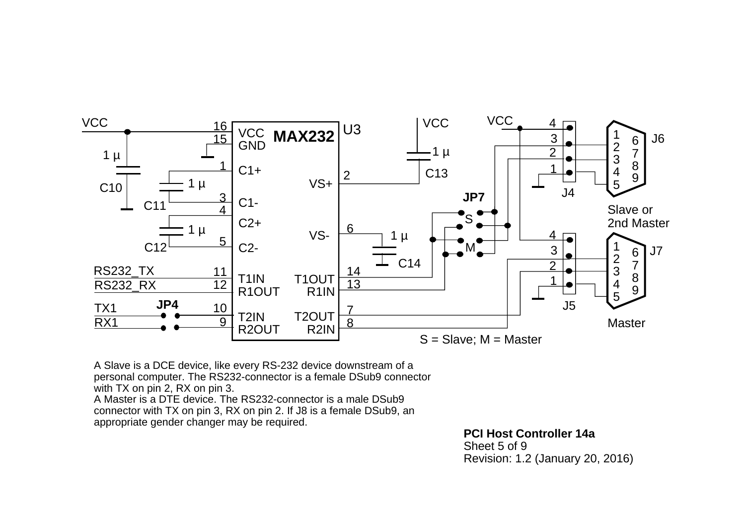

A Slave is a DCE device, like every RS-232 device downstream of a personal computer. The RS232-connector is a female DSub9 connector with TX on pin 2, RX on pin 3.

A Master is a DTE device. The RS232-connector is a male DSub9connector with TX on pin 3, RX on pin 2. If J8 is a female DSub9, an appropriate gender changer may be required.

**PCI Host Controller 14a**

Sheet 5 of 9Revision: 1.2 (January 20, 2016)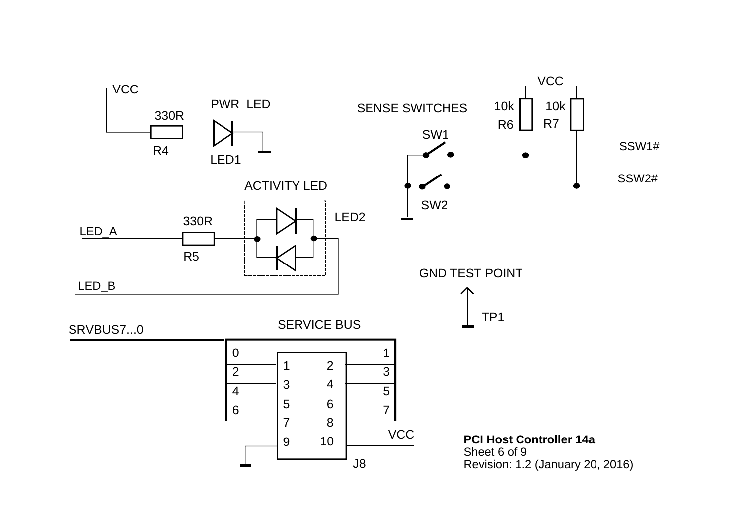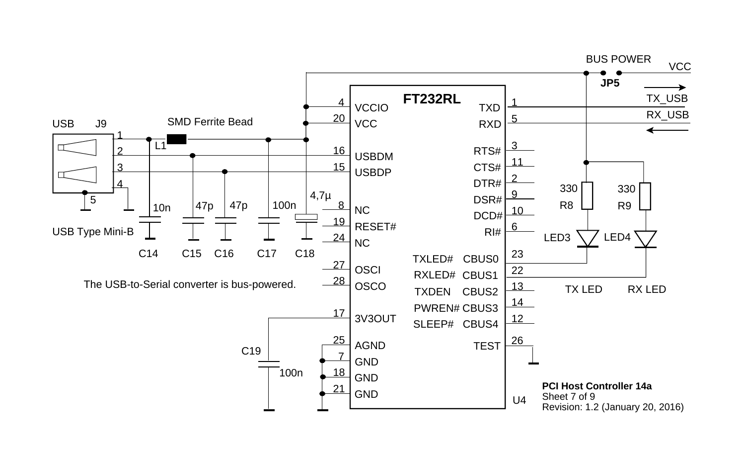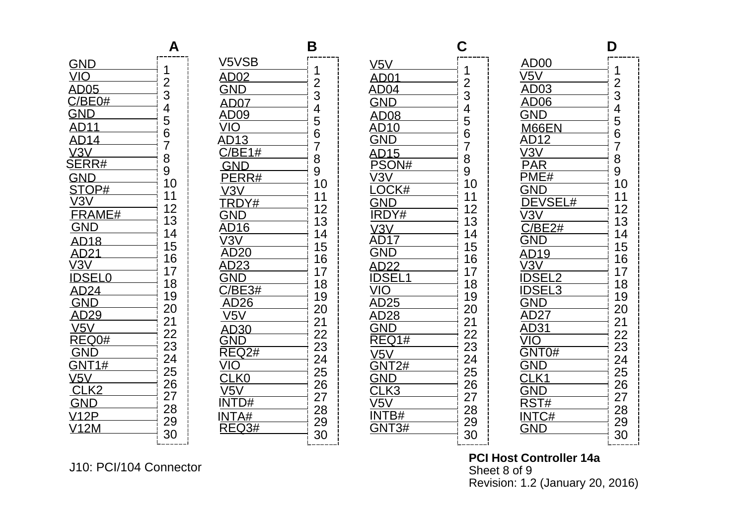| <b>GND</b>                                      | والمستوات والمتواطن والمتوات والمستوات والمتوات والمتوات والمتوات والمتوات والمتوات والمتوات والمتوات والمتوات<br>ו<br>ו |
|-------------------------------------------------|--------------------------------------------------------------------------------------------------------------------------|
|                                                 |                                                                                                                          |
| AD05                                            |                                                                                                                          |
| C/BE0#                                          |                                                                                                                          |
| GND                                             |                                                                                                                          |
| 11                                              | 1234567                                                                                                                  |
| AD14________<br>V3V<br>$\overline{\phantom{a}}$ |                                                                                                                          |
| $\overline{RR#}$                                | 8<br>9                                                                                                                   |
| D                                               | 10                                                                                                                       |
|                                                 | 11                                                                                                                       |
|                                                 | 12                                                                                                                       |
| $\overline{\text{RAME}}$ #                      | 13                                                                                                                       |
|                                                 | 14                                                                                                                       |
| AD18                                            | 15                                                                                                                       |
| $\frac{122}{1}$                                 | 16                                                                                                                       |
| SELO                                            | 17                                                                                                                       |
| 24<br>AD                                        | 18<br>19                                                                                                                 |
| $\sqrt{2}$<br>G١                                | 20                                                                                                                       |
| $\frac{1}{29}$                                  | 21                                                                                                                       |
| V5V<br>REQ0#                                    |                                                                                                                          |
|                                                 |                                                                                                                          |
| $-1\#$                                          | -<br>22<br>23<br>24                                                                                                      |
| $\underline{\overline{\overline{5}}}$           | 25                                                                                                                       |
| K2                                              | 26                                                                                                                       |
| Gľ<br>$\frac{1}{2}$                             | <br> <br> <br> <br> <br> <br> <br><br> <br>27<br>28                                                                      |
| V <sub>1</sub>                                  | 29                                                                                                                       |
| $12M$ $-$                                       | 30                                                                                                                       |
|                                                 |                                                                                                                          |

|                                                | B                                |
|------------------------------------------------|----------------------------------|
| V5VSB                                          |                                  |
| AD02                                           | 12345678910                      |
|                                                |                                  |
| $\overline{\mathsf{A}}$<br>07                  |                                  |
| Al<br>)09                                      |                                  |
| AI                                             |                                  |
| $\frac{1\#}{\sqrt{1-\frac{1}{2}}+\frac{1}{2}}$ |                                  |
|                                                |                                  |
|                                                |                                  |
|                                                |                                  |
| DY#                                            |                                  |
| $\sqrt{2}$                                     |                                  |
| $\overline{16}$                                | 11<br>12<br>13<br>14<br>15<br>16 |
| $\frac{1}{20}$                                 |                                  |
| 23                                             |                                  |
|                                                | 17<br>18                         |
| $\frac{24}{24}$                                |                                  |
| 26                                             |                                  |
|                                                |                                  |
| 30                                             |                                  |
| $\overline{\text{Q2#}}$                        | 19<br>20<br>21<br>22<br>23<br>24 |
|                                                |                                  |
| K0 and the set                                 | $25$<br>25                       |
|                                                | 27                               |
| )#                                             |                                  |
| A#                                             | --<br>28<br>29                   |
| 23#                                            | 30                               |
|                                                |                                  |

|                                         | 0                                                           |
|-----------------------------------------|-------------------------------------------------------------|
| V5V                                     |                                                             |
| AD01<br>AD04                            |                                                             |
| <u>4</u>                                |                                                             |
| GND                                     |                                                             |
| AD08                                    |                                                             |
| $0_{-}$                                 |                                                             |
| 5 <sub>1</sub>                          |                                                             |
|                                         |                                                             |
|                                         | 12345678910                                                 |
| AL I - Y<br>PSON#<br>LOCK#              |                                                             |
| $\frac{\frac{1}{2}}{\frac{1}{2}}$       | 11<br>12                                                    |
|                                         |                                                             |
| $\frac{\sqrt{3}}{\text{AD}}$<br>$\sqrt$ | $\frac{12}{13}$<br>$\frac{14}{15}$                          |
|                                         | <br> <br>                                                   |
|                                         | $\frac{16}{17}$                                             |
| 2<br>SEL <sub>1</sub>                   |                                                             |
| /І(                                     | $\overline{18}$                                             |
| 25                                      |                                                             |
| AD28                                    |                                                             |
|                                         |                                                             |
|                                         |                                                             |
|                                         |                                                             |
| $\overline{2\#}$                        |                                                             |
|                                         |                                                             |
| K3                                      | 1922234567<br> <br> -<br> <br> <br> <br> <br> <br> <br><br> |
| /5<br>B#                                | –.<br>28<br>29                                              |
| 3#                                      |                                                             |
|                                         | 30                                                          |

| D00                     |                                                                                                                    |
|-------------------------|--------------------------------------------------------------------------------------------------------------------|
|                         | كالأصباط وماطر والمترك والتواصي والمتواطن والمتواطن والمتواطن والمتواطن والمتواطن والمتواطن<br>1234567891011234567 |
| $\frac{3}{2}$           |                                                                                                                    |
| .<br>06_                |                                                                                                                    |
|                         |                                                                                                                    |
| 66E <u>N</u>            |                                                                                                                    |
| <u> 1999 - Jan Jawa</u> |                                                                                                                    |
|                         |                                                                                                                    |
| $\overline{\ddot{}}$    |                                                                                                                    |
|                         |                                                                                                                    |
| EVSEL#                  |                                                                                                                    |
| $\overline{73}$         |                                                                                                                    |
| <u>JE2#</u>             |                                                                                                                    |
|                         |                                                                                                                    |
| 19                      |                                                                                                                    |
|                         |                                                                                                                    |
|                         | 18                                                                                                                 |
|                         |                                                                                                                    |
| 27                      | 19<br>20<br>22<br>23<br>24                                                                                         |
| 31                      |                                                                                                                    |
|                         |                                                                                                                    |
| $\overline{0}$          |                                                                                                                    |
| Gl                      |                                                                                                                    |
|                         |                                                                                                                    |
|                         | ╺╶╴┙╸╸╸┙╸╸┙╸╴┙┙╴╴┙┙╸╴┙┙╴┙┙╸┙┙╸┙┷╺╴╸┷╺╴╸┙╸┙┙╴┙┙╴┙┙╸╸┙<br>21<br>25<br>26<br>27                                       |
| #                       | –<br>28<br>29                                                                                                      |
| $\frac{1}{2}$           |                                                                                                                    |
|                         | 30                                                                                                                 |
|                         |                                                                                                                    |

**PCI Host Controller 14a** Sheet 8 of 9 Revision: 1.2 (January 20, 2016)

J10: PCI/104 Connector